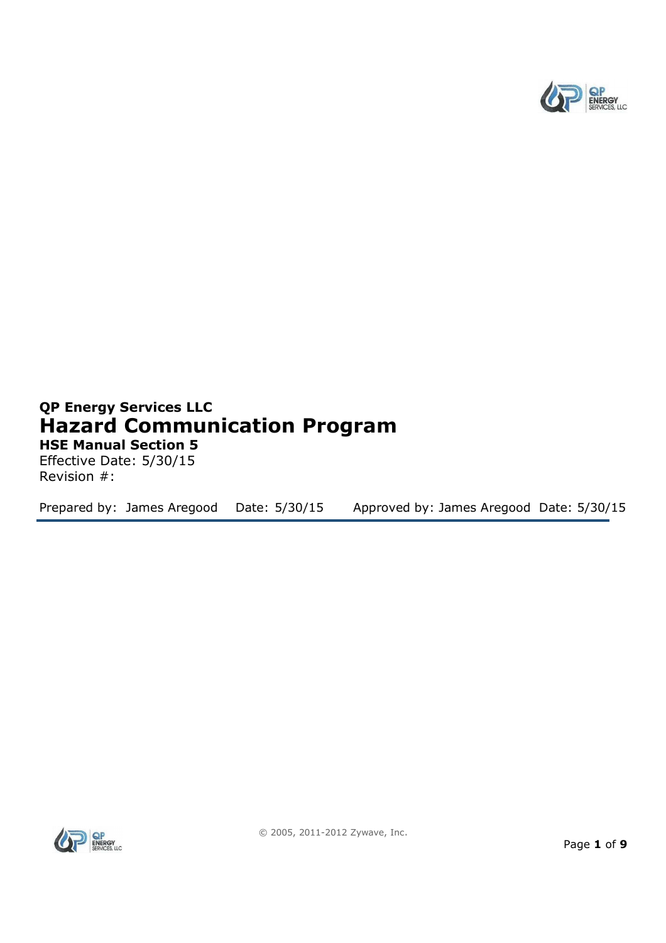

# **QP Energy Services LLC Hazard Communication Program HSE Manual Section 5**

Effective Date: 5/30/15 Revision #:

Prepared by: James Aregood Date: 5/30/15 Approved by: James Aregood Date: 5/30/15

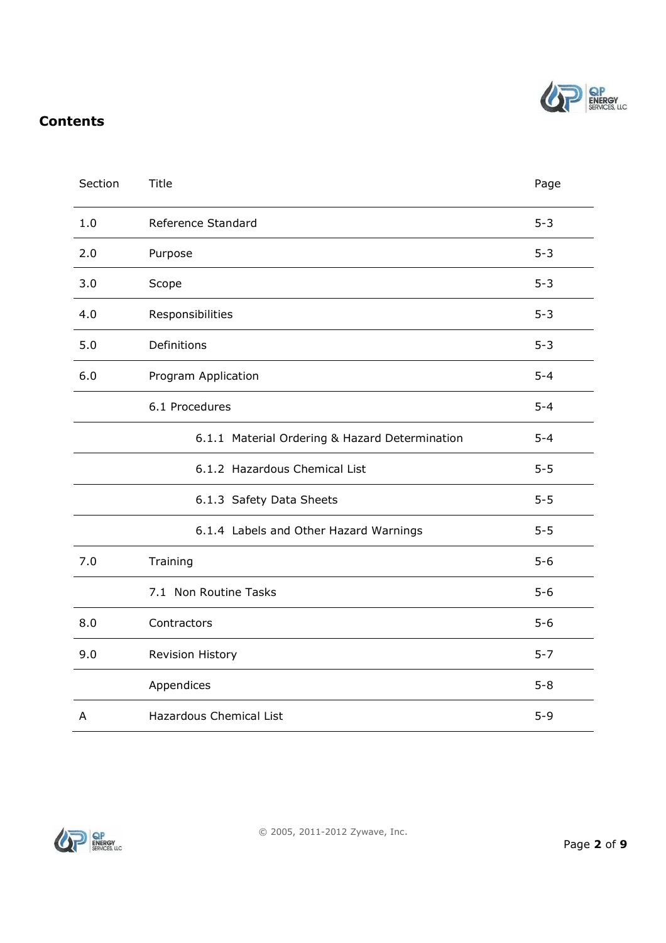

# **Contents**

| Section | <b>Title</b>                                   | Page    |  |
|---------|------------------------------------------------|---------|--|
| 1.0     | Reference Standard                             | $5 - 3$ |  |
| 2.0     | Purpose                                        | $5 - 3$ |  |
| 3.0     | Scope                                          | $5 - 3$ |  |
| 4.0     | Responsibilities                               |         |  |
| 5.0     | Definitions                                    | $5 - 3$ |  |
| 6.0     | Program Application                            | $5 - 4$ |  |
|         | 6.1 Procedures                                 | $5 - 4$ |  |
|         | 6.1.1 Material Ordering & Hazard Determination | $5 - 4$ |  |
|         | 6.1.2 Hazardous Chemical List                  | $5 - 5$ |  |
|         | 6.1.3 Safety Data Sheets                       | $5 - 5$ |  |
|         | 6.1.4 Labels and Other Hazard Warnings         | $5 - 5$ |  |
| 7.0     | Training                                       | $5-6$   |  |
|         | 7.1 Non Routine Tasks                          | $5-6$   |  |
| 8.0     | Contractors                                    | $5-6$   |  |
| 9.0     | Revision History                               | $5 - 7$ |  |
|         | Appendices                                     | $5 - 8$ |  |
| A       | <b>Hazardous Chemical List</b>                 | $5 - 9$ |  |

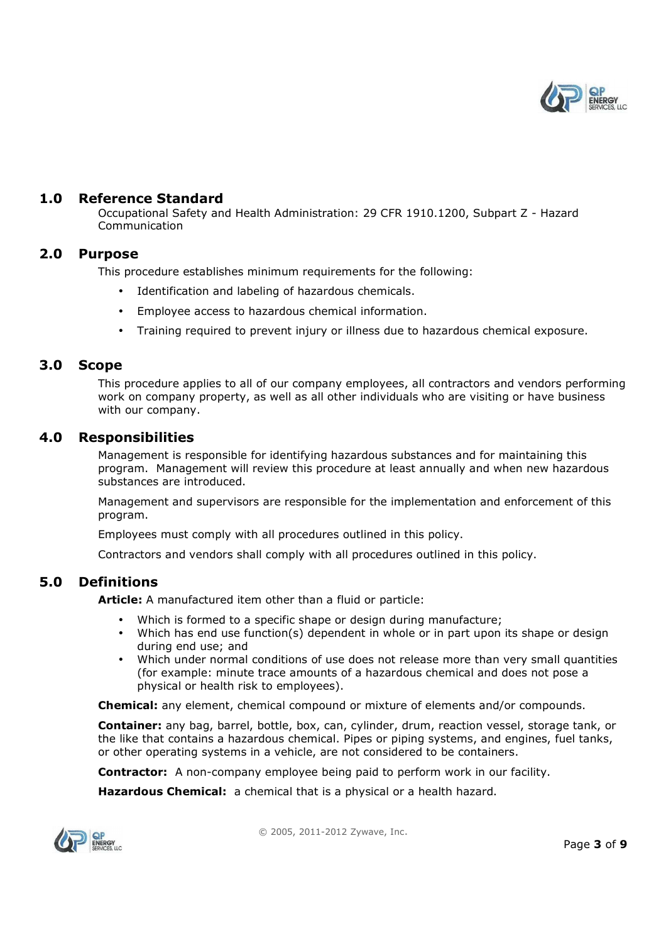

#### **1.0 Reference Standard**

Occupational Safety and Health Administration: 29 CFR 1910.1200, Subpart Z - Hazard Communication

#### **2.0 Purpose**

This procedure establishes minimum requirements for the following:

- Identification and labeling of hazardous chemicals.
- Employee access to hazardous chemical information.
- Training required to prevent injury or illness due to hazardous chemical exposure.

#### **3.0 Scope**

This procedure applies to all of our company employees, all contractors and vendors performing work on company property, as well as all other individuals who are visiting or have business with our company.

#### **4.0 Responsibilities**

Management is responsible for identifying hazardous substances and for maintaining this program. Management will review this procedure at least annually and when new hazardous substances are introduced.

Management and supervisors are responsible for the implementation and enforcement of this program.

Employees must comply with all procedures outlined in this policy.

Contractors and vendors shall comply with all procedures outlined in this policy.

#### **5.0 Definitions**

**Article:** A manufactured item other than a fluid or particle:

- Which is formed to a specific shape or design during manufacture;
- Which has end use function(s) dependent in whole or in part upon its shape or design during end use; and
- Which under normal conditions of use does not release more than very small quantities (for example: minute trace amounts of a hazardous chemical and does not pose a physical or health risk to employees).

**Chemical:** any element, chemical compound or mixture of elements and/or compounds.

**Container:** any bag, barrel, bottle, box, can, cylinder, drum, reaction vessel, storage tank, or the like that contains a hazardous chemical. Pipes or piping systems, and engines, fuel tanks, or other operating systems in a vehicle, are not considered to be containers.

**Contractor:** A non-company employee being paid to perform work in our facility.

**Hazardous Chemical:** a chemical that is a physical or a health hazard.

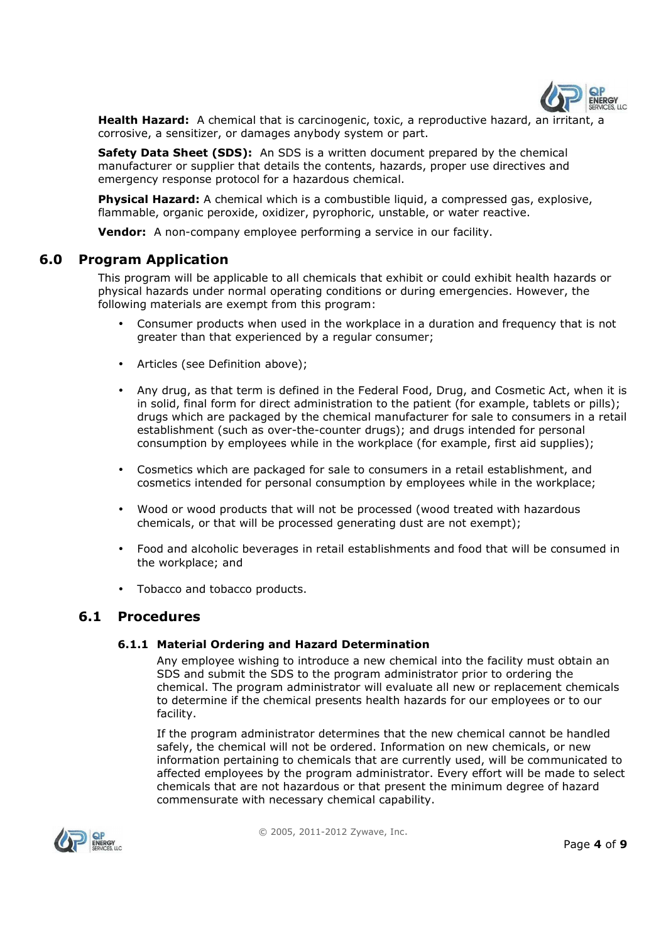

**Health Hazard:** A chemical that is carcinogenic, toxic, a reproductive hazard, an irritant, a corrosive, a sensitizer, or damages anybody system or part.

**Safety Data Sheet (SDS):** An SDS is a written document prepared by the chemical manufacturer or supplier that details the contents, hazards, proper use directives and emergency response protocol for a hazardous chemical.

**Physical Hazard:** A chemical which is a combustible liquid, a compressed gas, explosive, flammable, organic peroxide, oxidizer, pyrophoric, unstable, or water reactive.

**Vendor:** A non-company employee performing a service in our facility.

#### **6.0 Program Application**

This program will be applicable to all chemicals that exhibit or could exhibit health hazards or physical hazards under normal operating conditions or during emergencies. However, the following materials are exempt from this program:

- Consumer products when used in the workplace in a duration and frequency that is not greater than that experienced by a regular consumer;
- Articles (see Definition above);
- Any drug, as that term is defined in the Federal Food, Drug, and Cosmetic Act, when it is in solid, final form for direct administration to the patient (for example, tablets or pills); drugs which are packaged by the chemical manufacturer for sale to consumers in a retail establishment (such as over-the-counter drugs); and drugs intended for personal consumption by employees while in the workplace (for example, first aid supplies);
- Cosmetics which are packaged for sale to consumers in a retail establishment, and cosmetics intended for personal consumption by employees while in the workplace;
- Wood or wood products that will not be processed (wood treated with hazardous chemicals, or that will be processed generating dust are not exempt);
- Food and alcoholic beverages in retail establishments and food that will be consumed in the workplace; and
- Tobacco and tobacco products.

#### **6.1 Procedures**

#### **6.1.1 Material Ordering and Hazard Determination**

Any employee wishing to introduce a new chemical into the facility must obtain an SDS and submit the SDS to the program administrator prior to ordering the chemical. The program administrator will evaluate all new or replacement chemicals to determine if the chemical presents health hazards for our employees or to our facility.

If the program administrator determines that the new chemical cannot be handled safely, the chemical will not be ordered. Information on new chemicals, or new information pertaining to chemicals that are currently used, will be communicated to affected employees by the program administrator. Every effort will be made to select chemicals that are not hazardous or that present the minimum degree of hazard commensurate with necessary chemical capability.

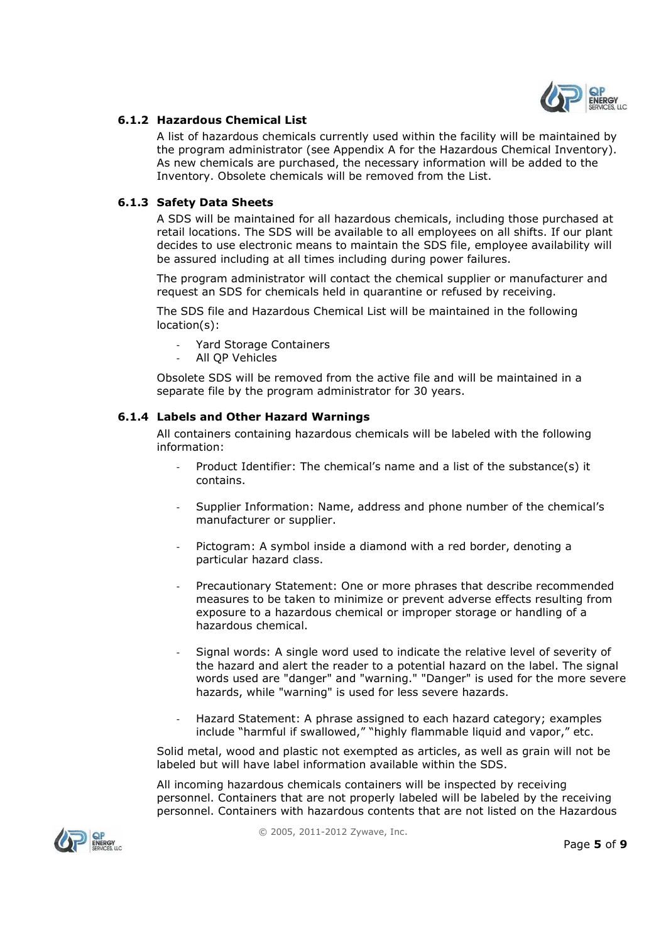

#### **6.1.2 Hazardous Chemical List**

A list of hazardous chemicals currently used within the facility will be maintained by the program administrator (see Appendix A for the Hazardous Chemical Inventory). As new chemicals are purchased, the necessary information will be added to the Inventory. Obsolete chemicals will be removed from the List.

#### **6.1.3 Safety Data Sheets**

A SDS will be maintained for all hazardous chemicals, including those purchased at retail locations. The SDS will be available to all employees on all shifts. If our plant decides to use electronic means to maintain the SDS file, employee availability will be assured including at all times including during power failures.

The program administrator will contact the chemical supplier or manufacturer and request an SDS for chemicals held in quarantine or refused by receiving.

The SDS file and Hazardous Chemical List will be maintained in the following location(s):

- Yard Storage Containers
- All OP Vehicles

Obsolete SDS will be removed from the active file and will be maintained in a separate file by the program administrator for 30 years.

#### **6.1.4 Labels and Other Hazard Warnings**

All containers containing hazardous chemicals will be labeled with the following information:

- Product Identifier: The chemical's name and a list of the substance(s) it contains.
- Supplier Information: Name, address and phone number of the chemical's manufacturer or supplier.
- Pictogram: A symbol inside a diamond with a red border, denoting a particular hazard class.
- Precautionary Statement: One or more phrases that describe recommended measures to be taken to minimize or prevent adverse effects resulting from exposure to a hazardous chemical or improper storage or handling of a hazardous chemical.
- Signal words: A single word used to indicate the relative level of severity of the hazard and alert the reader to a potential hazard on the label. The signal words used are "danger" and "warning." "Danger" is used for the more severe hazards, while "warning" is used for less severe hazards.
- Hazard Statement: A phrase assigned to each hazard category; examples include "harmful if swallowed," "highly flammable liquid and vapor," etc.

Solid metal, wood and plastic not exempted as articles, as well as grain will not be labeled but will have label information available within the SDS.

All incoming hazardous chemicals containers will be inspected by receiving personnel. Containers that are not properly labeled will be labeled by the receiving personnel. Containers with hazardous contents that are not listed on the Hazardous

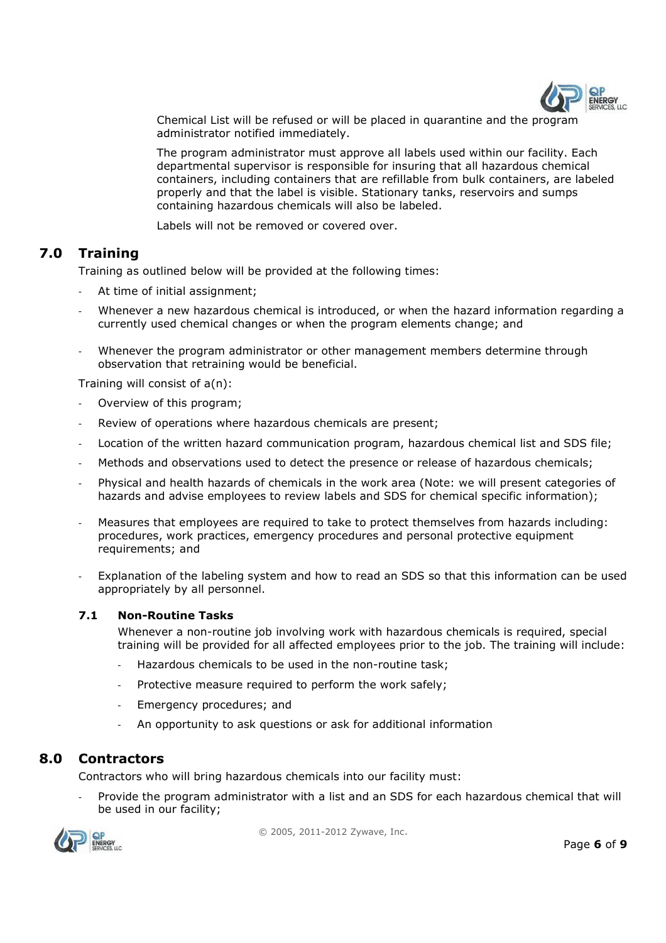

Chemical List will be refused or will be placed in quarantine and the program administrator notified immediately.

The program administrator must approve all labels used within our facility. Each departmental supervisor is responsible for insuring that all hazardous chemical containers, including containers that are refillable from bulk containers, are labeled properly and that the label is visible. Stationary tanks, reservoirs and sumps containing hazardous chemicals will also be labeled.

Labels will not be removed or covered over.

## **7.0 Training**

Training as outlined below will be provided at the following times:

- At time of initial assignment;
- Whenever a new hazardous chemical is introduced, or when the hazard information regarding a currently used chemical changes or when the program elements change; and
- Whenever the program administrator or other management members determine through observation that retraining would be beneficial.

Training will consist of a(n):

- Overview of this program;
- Review of operations where hazardous chemicals are present;
- Location of the written hazard communication program, hazardous chemical list and SDS file:
- Methods and observations used to detect the presence or release of hazardous chemicals;
- Physical and health hazards of chemicals in the work area (Note: we will present categories of hazards and advise employees to review labels and SDS for chemical specific information);
- Measures that employees are required to take to protect themselves from hazards including: procedures, work practices, emergency procedures and personal protective equipment requirements; and
- Explanation of the labeling system and how to read an SDS so that this information can be used appropriately by all personnel.

#### **7.1 Non-Routine Tasks**

Whenever a non-routine job involving work with hazardous chemicals is required, special training will be provided for all affected employees prior to the job. The training will include:

- Hazardous chemicals to be used in the non-routine task;
- Protective measure required to perform the work safely;
- Emergency procedures; and
- An opportunity to ask questions or ask for additional information

# **8.0 Contractors**

Contractors who will bring hazardous chemicals into our facility must:

- Provide the program administrator with a list and an SDS for each hazardous chemical that will be used in our facility;



© 2005, 2011-2012 Zywave, Inc.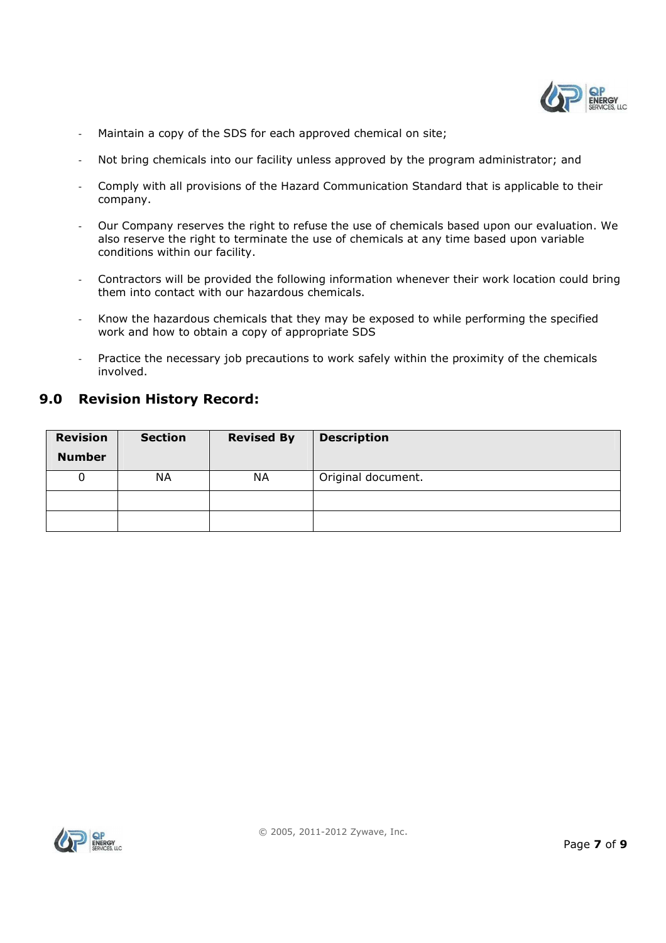

- Maintain a copy of the SDS for each approved chemical on site;
- Not bring chemicals into our facility unless approved by the program administrator; and
- Comply with all provisions of the Hazard Communication Standard that is applicable to their company.
- Our Company reserves the right to refuse the use of chemicals based upon our evaluation. We also reserve the right to terminate the use of chemicals at any time based upon variable conditions within our facility.
- Contractors will be provided the following information whenever their work location could bring them into contact with our hazardous chemicals.
- Know the hazardous chemicals that they may be exposed to while performing the specified work and how to obtain a copy of appropriate SDS
- Practice the necessary job precautions to work safely within the proximity of the chemicals involved.

### **9.0 Revision History Record:**

| <b>Revision</b> | <b>Section</b> | <b>Revised By</b> | <b>Description</b> |
|-----------------|----------------|-------------------|--------------------|
| <b>Number</b>   |                |                   |                    |
| 0               | NА             | <b>NA</b>         | Original document. |
|                 |                |                   |                    |
|                 |                |                   |                    |

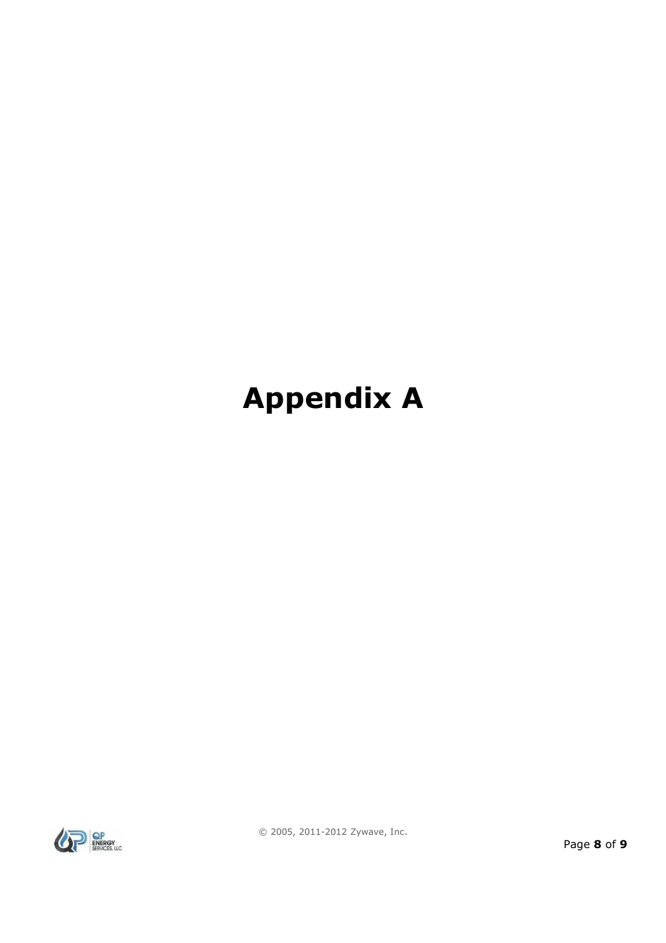# **Appendix A**